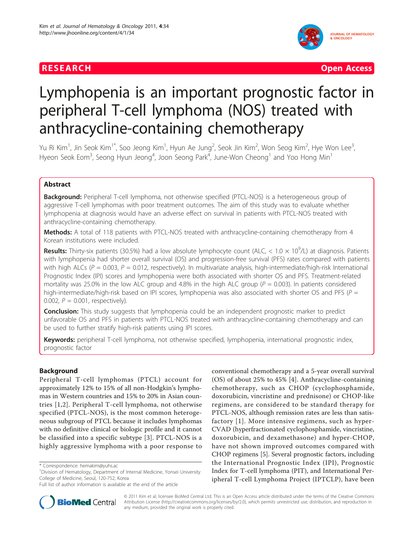

**RESEARCH Open Access** 

# Lymphopenia is an important prognostic factor in peripheral T-cell lymphoma (NOS) treated with anthracycline-containing chemotherapy

Yu Ri Kim<sup>1</sup>, Jin Seok Kim<sup>1\*</sup>, Soo Jeong Kim<sup>1</sup>, Hyun Ae Jung<sup>2</sup>, Seok Jin Kim<sup>2</sup>, Won Seog Kim<sup>2</sup>, Hye Won Lee<sup>3</sup> , Hyeon Seok Eom<sup>3</sup>, Seong Hyun Jeong<sup>4</sup>, Joon Seong Park<sup>4</sup>, June-Won Cheong<sup>1</sup> and Yoo Hong Min<sup>1</sup>

# Abstract

**Background:** Peripheral T-cell lymphoma, not otherwise specified (PTCL-NOS) is a heterogeneous group of aggressive T-cell lymphomas with poor treatment outcomes. The aim of this study was to evaluate whether lymphopenia at diagnosis would have an adverse effect on survival in patients with PTCL-NOS treated with anthracycline-containing chemotherapy.

Methods: A total of 118 patients with PTCL-NOS treated with anthracycline-containing chemotherapy from 4 Korean institutions were included.

Results: Thirty-six patients (30.5%) had a low absolute lymphocyte count (ALC, < 1.0 × 10<sup>9</sup>/L) at diagnosis. Patients with lymphopenia had shorter overall survival (OS) and progression-free survival (PFS) rates compared with patients with high ALCs ( $P = 0.003$ ,  $P = 0.012$ , respectively). In multivariate analysis, high-intermediate/high-risk International Prognostic Index (IPI) scores and lymphopenia were both associated with shorter OS and PFS. Treatment-related mortality was 25.0% in the low ALC group and 4.8% in the high ALC group ( $P = 0.003$ ). In patients considered high-intermediate/high-risk based on IPI scores, lymphopenia was also associated with shorter OS and PFS ( $P =$ 0.002,  $P = 0.001$ , respectively).

**Conclusion:** This study suggests that lymphopenia could be an independent prognostic marker to predict unfavorable OS and PFS in patients with PTCL-NOS treated with anthracycline-containing chemotherapy and can be used to further stratify high-risk patients using IPI scores.

Keywords: peripheral T-cell lymphoma, not otherwise specified, lymphopenia, international prognostic index, prognostic factor

# Background

Peripheral T-cell lymphomas (PTCL) account for approximately 12% to 15% of all non-Hodgkin's lymphomas in Western countries and 15% to 20% in Asian countries [[1](#page-7-0),[2](#page-7-0)]. Peripheral T-cell lymphoma, not otherwise specified (PTCL-NOS), is the most common heterogeneous subgroup of PTCL because it includes lymphomas with no definitive clinical or biologic profile and it cannot be classified into a specific subtype [[3\]](#page-7-0). PTCL-NOS is a highly aggressive lymphoma with a poor response to

conventional chemotherapy and a 5-year overall survival (OS) of about 25% to 45% [[4\]](#page-7-0). Anthracycline-containing chemotherapy, such as CHOP (cyclophosphamide, doxorubicin, vincristine and prednisone) or CHOP-like regimens, are considered to be standard therapy for PTCL-NOS, although remission rates are less than satisfactory [[1\]](#page-7-0). More intensive regimens, such as hyper-CVAD (hyperfractionated cyclophosphamide, vincristine, doxorubicin, and dexamethasone) and hyper-CHOP, have not shown improved outcomes compared with CHOP regimens [[5\]](#page-7-0). Several prognostic factors, including the International Prognostic Index (IPI), Prognostic Index for T-cell lymphoma (PIT), and International Peripheral T-cell Lymphoma Project (IPTCLP), have been



© 2011 Kim et al; licensee BioMed Central Ltd. This is an Open Access article distributed under the terms of the Creative Commons Attribution License [\(http://creativecommons.org/licenses/by/2.0](http://creativecommons.org/licenses/by/2.0)), which permits unrestricted use, distribution, and reproduction in any medium, provided the original work is properly cited.

<sup>\*</sup> Correspondence: [hemakim@yuhs.ac](mailto:hemakim@yuhs.ac)

<sup>&</sup>lt;sup>1</sup> Division of Hematology, Department of Internal Medicine, Yonsei University College of Medicine, Seoul, 120-752, Korea

Full list of author information is available at the end of the article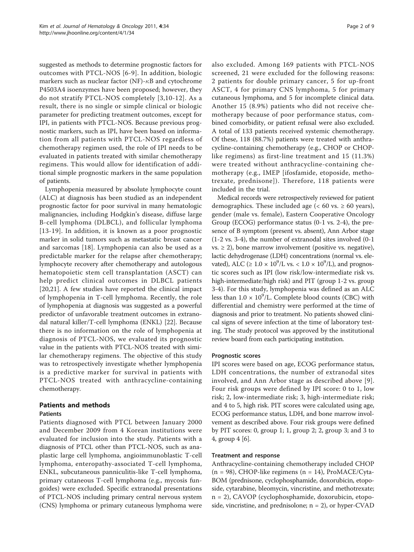suggested as methods to determine prognostic factors for outcomes with PTCL-NOS [[6](#page-7-0)-[9](#page-7-0)]. In addition, biologic markers such as nuclear factor (NF)- $\kappa$ B and cytochrome P4503A4 isoenzymes have been proposed; however, they do not stratify PTCL-NOS completely [[3](#page-7-0),[10](#page-7-0)-[12\]](#page-7-0). As a result, there is no single or simple clinical or biologic parameter for predicting treatment outcomes, except for IPI, in patients with PTCL-NOS. Because previous prognostic markers, such as IPI, have been based on information from all patients with PTCL-NOS regardless of chemotherapy regimen used, the role of IPI needs to be evaluated in patients treated with similar chemotherapy regimens. This would allow for identification of additional simple prognostic markers in the same population of patients.

Lymphopenia measured by absolute lymphocyte count (ALC) at diagnosis has been studied as an independent prognostic factor for poor survival in many hematologic malignancies, including Hodgkin's disease, diffuse large B-cell lymphoma (DLBCL), and follicular lymphoma [[13](#page-7-0)-[19\]](#page-8-0). In addition, it is known as a poor prognostic marker in solid tumors such as metastatic breast cancer and sarcomas [[18](#page-7-0)]. Lymphopenia can also be used as a predictable marker for the relapse after chemotherapy; lymphocyte recovery after chemotherapy and autologous hematopoietic stem cell transplantation (ASCT) can help predict clinical outcomes in DLBCL patients [[20,21](#page-8-0)]. A few studies have reported the clinical impact of lymphopenia in T-cell lymphoma. Recently, the role of lymphopenia at diagnosis was suggested as a powerful predictor of unfavorable treatment outcomes in extranodal natural killer/T-cell lymphoma (ENKL) [[22\]](#page-8-0). Because there is no information on the role of lymphopenia at diagnosis of PTCL-NOS, we evaluated its prognostic value in the patients with PTCL-NOS treated with similar chemotherapy regimens. The objective of this study was to retrospectively investigate whether lymphopenia is a predictive marker for survival in patients with PTCL-NOS treated with anthracycline-containing chemotherapy.

# Patients and methods

# Patients

Patients diagnosed with PTCL between January 2000 and December 2009 from 4 Korean institutions were evaluated for inclusion into the study. Patients with a diagnosis of PTCL other than PTCL-NOS, such as anaplastic large cell lymphoma, angioimmunoblastic T-cell lymphoma, enteropathy-associated T-cell lymphoma, ENKL, subcutaneous panniculitis-like T-cell lymphoma, primary cutaneous T-cell lymphoma (e.g., mycosis fungoides) were excluded. Specific extranodal presentations of PTCL-NOS including primary central nervous system (CNS) lymphoma or primary cutaneous lymphoma were also excluded. Among 169 patients with PTCL-NOS screened, 21 were excluded for the following reasons: 2 patients for double primary cancer, 5 for up-front ASCT, 4 for primary CNS lymphoma, 5 for primary cutaneous lymphoma, and 5 for incomplete clinical data. Another 15 (8.9%) patients who did not receive chemotherapy because of poor performance status, combined comorbidity, or patient refusal were also excluded. A total of 133 patients received systemic chemotherapy. Of these, 118 (88.7%) patients were treated with anthracycline-containing chemotherapy (e.g., CHOP or CHOPlike regimens) as first-line treatment and 15 (11.3%) were treated without anthracycline-containing chemotherapy (e.g., IMEP [ifosfamide, etoposide, methotrexate, prednisone]). Therefore, 118 patients were included in the trial.

Medical records were retrospectively reviewed for patient demographics. These included age ( $< 60$  vs.  $\geq 60$  years), gender (male vs. female), Eastern Cooperative Oncology Group (ECOG) performance status (0-1 vs. 2-4), the presence of B symptom (present vs. absent), Ann Arbor stage (1-2 vs. 3-4), the number of extranodal sites involved (0-1  $vs. ≥ 2$ ), bone marrow involvement (positive vs. negative), lactic dehydrogenase (LDH) concentrations (normal vs. elevated), ALC ( $\geq 1.0 \times 10^9$ /L vs. <  $1.0 \times 10^9$ /L), and prognostic scores such as IPI (low risk/low-intermediate risk vs. high-intermediate/high risk) and PIT (group 1-2 vs. group 3-4). For this study, lymphopenia was defined as an ALC less than  $1.0 \times 10^9$ /L. Complete blood counts (CBC) with differential and chemistry were performed at the time of diagnosis and prior to treatment. No patients showed clinical signs of severe infection at the time of laboratory testing. The study protocol was approved by the institutional review board from each participating institution.

# Prognostic scores

IPI scores were based on age, ECOG performance status, LDH concentrations, the number of extranodal sites involved, and Ann Arbor stage as described above [[9](#page-7-0)]. Four risk groups were defined by IPI score: 0 to 1, low risk; 2, low-intermediate risk; 3, high-intermediate risk; and 4 to 5, high risk. PIT scores were calculated using age, ECOG performance status, LDH, and bone marrow involvement as described above. Four risk groups were defined by PIT scores: 0, group 1; 1, group 2; 2, group 3; and 3 to 4, group 4 [\[6\]](#page-7-0).

# Treatment and response

Anthracycline-containing chemotherapy included CHOP  $(n = 98)$ , CHOP-like regimens  $(n = 14)$ , ProMACE/Cyta-BOM (prednisone, cyclophosphamide, doxorubicin, etoposide, cytarabine, bleomycin, vincristine, and methotrexate; n = 2), CAVOP (cyclophosphamide, doxorubicin, etoposide, vincristine, and prednisolone;  $n = 2$ ), or hyper-CVAD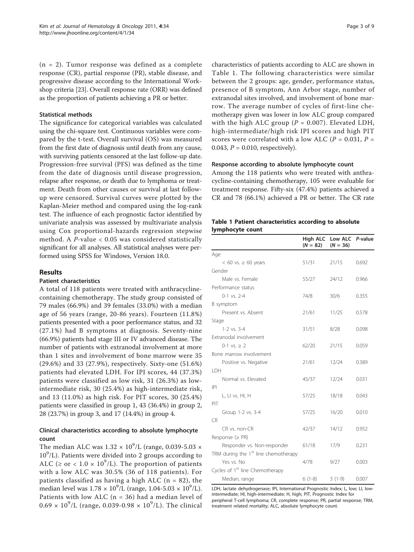<span id="page-2-0"></span> $(n = 2)$ . Tumor response was defined as a complete response (CR), partial response (PR), stable disease, and progressive disease according to the International Workshop criteria [[23](#page-8-0)]. Overall response rate (ORR) was defined as the proportion of patients achieving a PR or better.

#### Statistical methods

The significance for categorical variables was calculated using the chi-square test. Continuous variables were compared by the t-test. Overall survival (OS) was measured from the first date of diagnosis until death from any cause, with surviving patients censored at the last follow-up date. Progression-free survival (PFS) was defined as the time from the date of diagnosis until disease progression, relapse after response, or death due to lymphoma or treatment. Death from other causes or survival at last followup were censored. Survival curves were plotted by the Kaplan-Meier method and compared using the log-rank test. The influence of each prognostic factor identified by univariate analysis was assessed by multivariate analysis using Cox proportional-hazards regression stepwise method. A P-value < 0.05 was considered statistically significant for all analyses. All statistical analyses were performed using SPSS for Windows, Version 18.0.

### Results

# Patient characteristics

A total of 118 patients were treated with anthracyclinecontaining chemotherapy. The study group consisted of 79 males (66.9%) and 39 females (33.0%) with a median age of 56 years (range, 20-86 years). Fourteen (11.8%) patients presented with a poor performance status, and 32 (27.1%) had B symptoms at diagnosis. Seventy-nine (66.9%) patients had stage III or IV advanced disease. The number of patients with extranodal involvement at more than 1 sites and involvement of bone marrow were 35 (29.6%) and 33 (27.9%), respectively. Sixty-one (51.6%) patients had elevated LDH. For IPI scores, 44 (37.3%) patients were classified as low risk, 31 (26.3%) as lowintermediate risk, 30 (25.4%) as high-intermediate risk, and 13 (11.0%) as high risk. For PIT scores, 30 (25.4%) patients were classified in group 1, 43 (36.4%) in group 2, 28 (23.7%) in group 3, and 17 (14.4%) in group 4.

# Clinical characteristics according to absolute lymphocyte count

The median ALC was  $1.32 \times 10^9$ /L (range, 0.039-5.03  $\times$  $10^9$ /L). Patients were divided into 2 groups according to ALC ( $\ge$  or < 1.0  $\times$  10<sup>9</sup>/L). The proportion of patients with a low ALC was 30.5% (36 of 118 patients). For patients classified as having a high ALC ( $n = 82$ ), the median level was  $1.78 \times 10^{9}$ /L (range,  $1.04$ -5.03  $\times 10^{9}$ /L). Patients with low ALC ( $n = 36$ ) had a median level of  $0.69 \times 10^9$ /L (range, 0.039-0.98  $\times$   $10^9$ /L). The clinical

characteristics of patients according to ALC are shown in Table 1. The following characteristics were similar between the 2 groups: age, gender, performance status, presence of B symptom, Ann Arbor stage, number of extranodal sites involved, and involvement of bone marrow. The average number of cycles of first-line chemotherapy given was lower in low ALC group compared with the high ALC group ( $P = 0.007$ ). Elevated LDH, high-intermediate/high risk IPI scores and high PIT scores were correlated with a low ALC ( $P = 0.031$ ,  $P =$ 0.043,  $P = 0.010$ , respectively).

#### Response according to absolute lymphocyte count

Among the 118 patients who were treated with anthracycline-containing chemotherapy, 105 were evaluable for treatment response. Fifty-six (47.4%) patients achieved a CR and 78 (66.1%) achieved a PR or better. The CR rate

#### Table 1 Patient characteristics according to absolute lymphocyte count

|                                                  | High ALC<br>$(N = 82)$ | Low ALC P-value<br>$(N = 36)$ |       |
|--------------------------------------------------|------------------------|-------------------------------|-------|
| Age                                              |                        |                               |       |
| $< 60$ vs. $\geq 60$ years                       | 51/31                  | 21/15                         | 0.692 |
| Gender                                           |                        |                               |       |
| Male vs. Female                                  | 55/27                  | 24/12                         | 0.966 |
| Performance status                               |                        |                               |       |
| $0-1$ vs. $2-4$                                  | 74/8                   | 30/6                          | 0.355 |
| B symptom                                        |                        |                               |       |
| Present vs. Absent                               | 21/61                  | 11/25                         | 0.578 |
| Stage                                            |                        |                               |       |
| $1-2$ vs. $3-4$                                  | 31/51                  | 8/28                          | 0.098 |
| Extranodal involvement                           |                        |                               |       |
| 0-1 vs. $\geq$ 2                                 | 62/20                  | 21/15                         | 0.059 |
| Bone marrow involvement                          |                        |                               |       |
| Positive vs. Negative                            | 21/61                  | 12/24                         | 0.389 |
| <b>IDH</b>                                       |                        |                               |       |
| Normal vs. Flevated                              | 45/37                  | 12/24                         | 0.031 |
| P                                                |                        |                               |       |
| L, LI vs. HI, H                                  | 57/25                  | 18/18                         | 0.043 |
| PIT                                              |                        |                               |       |
| Group 1-2 vs. 3-4                                | 57/25                  | 16/20                         | 0.010 |
| <b>CR</b>                                        |                        |                               |       |
| CR vs. non-CR                                    | 42/37                  | 14/12                         | 0.952 |
| Response ( $\geq$ PR)                            |                        |                               |       |
| Responder vs. Non-responder                      | 61/18                  | 17/9                          | 0.231 |
| TRM during the 1 <sup>st</sup> line chemotherapy |                        |                               |       |
| Yes vs. No                                       | 4/78                   | 9/27                          | 0.003 |
| Cycles of 1 <sup>st</sup> line Chemotherapy      |                        |                               |       |
| Median, range                                    | $6(1-8)$               | $3(1-9)$                      | 0.007 |

LDH, lactate dehydrogenase; IPI, International Prognostic Index; L, low; LI, lowintermediate; HI, high-intermediate; H, high; PIT, Prognostic Index for peripheral T-cell lymphoma; CR, complete response; PR, partial response; TRM, treatment related mortality; ALC, absolute lymphocyte count.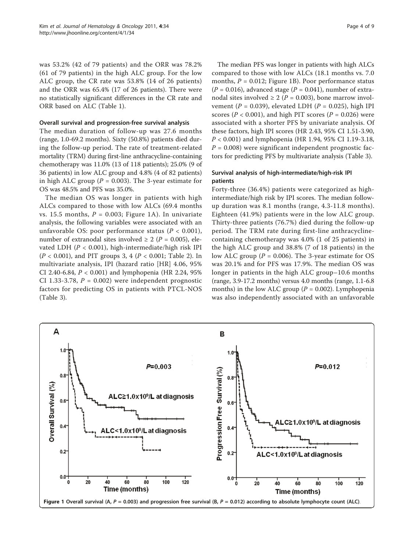was 53.2% (42 of 79 patients) and the ORR was 78.2% (61 of 79 patients) in the high ALC group. For the low ALC group, the CR rate was 53.8% (14 of 26 patients) and the ORR was 65.4% (17 of 26 patients). There were no statistically significant differences in the CR rate and ORR based on ALC (Table [1\)](#page-2-0).

#### Overall survival and progression-free survival analysis

The median duration of follow-up was 27.6 months (range, 1.0-69.2 months). Sixty (50.8%) patients died during the follow-up period. The rate of treatment-related mortality (TRM) during first-line anthracycline-containing chemotherapy was 11.0% (13 of 118 patients); 25.0% (9 of 36 patients) in low ALC group and 4.8% (4 of 82 patients) in high ALC group ( $P = 0.003$ ). The 3-year estimate for OS was 48.5% and PFS was 35.0%.

The median OS was longer in patients with high ALCs compared to those with low ALCs (69.4 months vs. 15.5 months,  $P = 0.003$ ; Figure 1A). In univariate analysis, the following variables were associated with an unfavorable OS: poor performance status ( $P < 0.001$ ), number of extranodal sites involved  $\geq 2$  (P = 0.005), elevated LDH ( $P < 0.001$ ), high-intermediate/high risk IPI  $(P < 0.001)$ , and PIT groups 3, 4  $(P < 0.001$ ; Table [2](#page-4-0)). In multivariate analysis, IPI (hazard ratio [HR] 4.06, 95% CI 2.40-6.84, P < 0.001) and lymphopenia (HR 2.24, 95% CI 1.33-3.78,  $P = 0.002$ ) were independent prognostic factors for predicting OS in patients with PTCL-NOS (Table [3\)](#page-4-0).

The median PFS was longer in patients with high ALCs compared to those with low ALCs (18.1 months vs. 7.0 months,  $P = 0.012$ ; Figure 1B). Poor performance status  $(P = 0.016)$ , advanced stage  $(P = 0.041)$ , number of extranodal sites involved  $\geq 2$  ( $P = 0.003$ ), bone marrow involvement ( $P = 0.039$ ), elevated LDH ( $P = 0.025$ ), high IPI scores ( $P < 0.001$ ), and high PIT scores ( $P = 0.026$ ) were associated with a shorter PFS by univariate analysis. Of these factors, high IPI scores (HR 2.43, 95% CI 1.51-3.90, P < 0.001) and lymphopenia (HR 1.94, 95% CI 1.19-3.18,  $P = 0.008$ ) were significant independent prognostic factors for predicting PFS by multivariate analysis (Table [3\)](#page-4-0).

# Survival analysis of high-intermediate/high-risk IPI patients

Forty-three (36.4%) patients were categorized as highintermediate/high risk by IPI scores. The median followup duration was 8.1 months (range, 4.3-11.8 months). Eighteen (41.9%) patients were in the low ALC group. Thirty-three patients (76.7%) died during the follow-up period. The TRM rate during first-line anthracyclinecontaining chemotherapy was 4.0% (1 of 25 patients) in the high ALC group and 38.8% (7 of 18 patients) in the low ALC group ( $P = 0.006$ ). The 3-year estimate for OS was 20.1% and for PFS was 17.9%. The median OS was longer in patients in the high ALC group–10.6 months (range, 3.9-17.2 months) versus 4.0 months (range, 1.1-6.8 months) in the low ALC group ( $P = 0.002$ ). Lymphopenia was also independently associated with an unfavorable

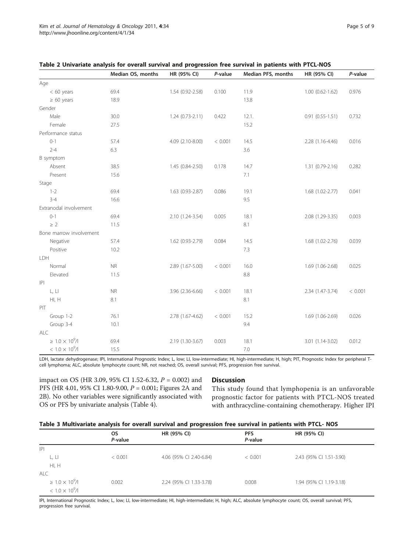|                             | Median OS, months | ັ<br>HR (95% CI)  | P-value | Median PFS, months | HR (95% CI)         | P-value |
|-----------------------------|-------------------|-------------------|---------|--------------------|---------------------|---------|
| Age                         |                   |                   |         |                    |                     |         |
| $< 60$ years                | 69.4              | 1.54 (0.92-2.58)  | 0.100   | 11.9               | $1.00(0.62 - 1.62)$ | 0.976   |
| $\geq 60$ years             | 18.9              |                   |         | 13.8               |                     |         |
| Gender                      |                   |                   |         |                    |                     |         |
| Male                        | 30.0              | $1.24(0.73-2.11)$ | 0.422   | 12.1.              | $0.91(0.55 - 1.51)$ | 0.732   |
| Female                      | 27.5              |                   |         | 15.2               |                     |         |
| Performance status          |                   |                   |         |                    |                     |         |
| $0 - 1$                     | 57.4              | 4.09 (2.10-8.00)  | < 0.001 | 14.5               | 2.28 (1.16-4.46)    | 0.016   |
| $2 - 4$                     | 6.3               |                   |         | 3.6                |                     |         |
| <b>B</b> symptom            |                   |                   |         |                    |                     |         |
| Absent                      | 38.5              | 1.45 (0.84-2.50)  | 0.178   | 14.7               | 1.31 (0.79-2.16)    | 0.282   |
| Present                     | 15.6              |                   |         | 7.1                |                     |         |
| Stage                       |                   |                   |         |                    |                     |         |
| $1 - 2$                     | 69.4              | 1.63 (0.93-2.87)  | 0.086   | 19.1               | 1.68 (1.02-2.77)    | 0.041   |
| $3 - 4$                     | 16.6              |                   |         | 9.5                |                     |         |
| Extranodal involvement      |                   |                   |         |                    |                     |         |
| $0 - 1$                     | 69.4              | 2.10 (1.24-3.54)  | 0.005   | 18.1               | 2.08 (1.29-3.35)    | 0.003   |
| $\geq 2$                    | 11.5              |                   |         | 8.1                |                     |         |
| Bone marrow involvement     |                   |                   |         |                    |                     |         |
| Negative                    | 57.4              | 1.62 (0.93-2.79)  | 0.084   | 14.5               | 1.68 (1.02-2.76)    | 0.039   |
| Positive                    | 10.2              |                   |         | 7.3                |                     |         |
| LDH                         |                   |                   |         |                    |                     |         |
| Normal                      | <b>NR</b>         | 2.89 (1.67-5.00)  | < 0.001 | 16.0               | 1.69 (1.06-2.68)    | 0.025   |
| Elevated                    | 11.5              |                   |         | 8.8                |                     |         |
| P                           |                   |                   |         |                    |                     |         |
| L, L                        | <b>NR</b>         | 3.96 (2.36-6.66)  | < 0.001 | 18.1               | 2.34 (1.47-3.74)    | < 0.001 |
| HI, H                       | 8.1               |                   |         | 8.1                |                     |         |
| PIT                         |                   |                   |         |                    |                     |         |
| Group 1-2                   | 76.1              | 2.78 (1.67-4.62)  | < 0.001 | 15.2               | 1.69 (1.06-2.69)    | 0.026   |
| Group 3-4                   | 10.1              |                   |         | 9.4                |                     |         |
| ALC                         |                   |                   |         |                    |                     |         |
| $\geq 1.0 \times 10^{9}$ /l | 69.4              | 2.19 (1.30-3.67)  | 0.003   | 18.1               | 3.01 (1.14-3.02)    | 0.012   |
| $<1.0\times10^9\!/$         | 15.5              |                   |         | 7.0                |                     |         |

<span id="page-4-0"></span>

LDH, lactate dehydrogenase; IPI, International Prognostic Index; L, low; LI, low-intermediate; HI, high-intermediate; H, high; PIT, Prognostic Index for peripheral Tcell lymphoma; ALC, absolute lymphocyte count; NR, not reached; OS, overall survival; PFS, progression free survival.

impact on OS (HR 3.09, 95% CI 1.52-6.32, P = 0.002) and PFS (HR 4.01, 95% CI 1.80-9.00, P = 0.001; Figures [2A](#page-5-0) and [2B](#page-5-0)). No other variables were significantly associated with OS or PFS by univariate analysis (Table [4](#page-6-0)).

# **Discussion**

This study found that lymphopenia is an unfavorable prognostic factor for patients with PTCL-NOS treated with anthracycline-containing chemotherapy. Higher IPI

| Table 3 Multivariate analysis for overall survival and progression free survival in patients with PTCL- NOS |  |  |  |
|-------------------------------------------------------------------------------------------------------------|--|--|--|
|                                                                                                             |  |  |  |

|                             | <b>OS</b><br>P-value | HR (95% CI)             | <b>PFS</b><br>P-value | HR (95% CI)             |
|-----------------------------|----------------------|-------------------------|-----------------------|-------------------------|
| P                           |                      |                         |                       |                         |
| L, LI                       | < 0.001              | 4.06 (95% CI 2.40-6.84) | < 0.001               | 2.43 (95% CI 1.51-3.90) |
| HI, H                       |                      |                         |                       |                         |
| <b>ALC</b>                  |                      |                         |                       |                         |
| $\geq 1.0 \times 10^{9}$ /l | 0.002                | 2.24 (95% CI 1.33-3.78) | 0.008                 | 1.94 (95% CI 1.19-3.18) |
| $< 1.0 \times 10^{9}/I$     |                      |                         |                       |                         |

IPI, International Prognostic Index; L, low; LI, low-intermediate; HI, high-intermediate; H, high; ALC, absolute lymphocyte count; OS, overall survival; PFS, progression free survival.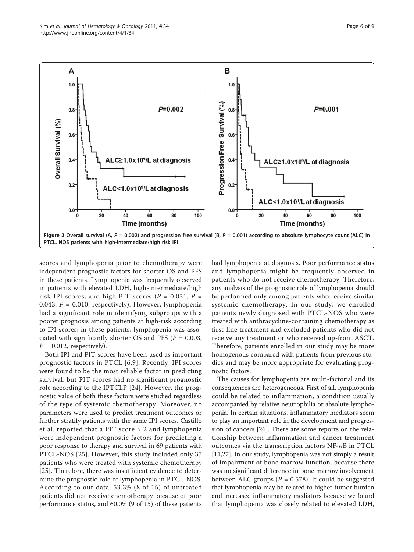<span id="page-5-0"></span>

scores and lymphopenia prior to chemotherapy were independent prognostic factors for shorter OS and PFS in these patients. Lymphopenia was frequently observed in patients with elevated LDH, high-intermediate/high risk IPI scores, and high PIT scores ( $P = 0.031$ ,  $P =$ 0.043,  $P = 0.010$ , respectively). However, lymphopenia had a significant role in identifying subgroups with a poorer prognosis among patients at high-risk according to IPI scores; in these patients, lymphopenia was associated with significantly shorter OS and PFS ( $P = 0.003$ ,  $P = 0.012$ , respectively).

Both IPI and PIT scores have been used as important prognostic factors in PTCL [[6,9\]](#page-7-0). Recently, IPI scores were found to be the most reliable factor in predicting survival, but PIT scores had no significant prognostic role according to the IPTCLP [[24](#page-8-0)]. However, the prognostic value of both these factors were studied regardless of the type of systemic chemotherapy. Moreover, no parameters were used to predict treatment outcomes or further stratify patients with the same IPI scores. Castillo et al. reported that a PIT score > 2 and lymphopenia were independent prognostic factors for predicting a poor response to therapy and survival in 69 patients with PTCL-NOS [[25\]](#page-8-0). However, this study included only 37 patients who were treated with systemic chemotherapy [[25\]](#page-8-0). Therefore, there was insufficient evidence to determine the prognostic role of lymphopenia in PTCL-NOS. According to our data, 53.3% (8 of 15) of untreated patients did not receive chemotherapy because of poor performance status, and 60.0% (9 of 15) of these patients had lymphopenia at diagnosis. Poor performance status and lymphopenia might be frequently observed in patients who do not receive chemotherapy. Therefore, any analysis of the prognostic role of lymphopenia should be performed only among patients who receive similar systemic chemotherapy. In our study, we enrolled patients newly diagnosed with PTCL-NOS who were treated with anthracycline-containing chemotherapy as first-line treatment and excluded patients who did not receive any treatment or who received up-front ASCT. Therefore, patients enrolled in our study may be more homogenous compared with patients from previous studies and may be more appropriate for evaluating prognostic factors.

The causes for lymphopenia are multi-factorial and its consequences are heterogeneous. First of all, lymphopenia could be related to inflammation, a condition usually accompanied by relative neutrophilia or absolute lymphopenia. In certain situations, inflammatory mediators seem to play an important role in the development and progression of cancers [[26](#page-8-0)]. There are some reports on the relationship between inflammation and cancer treatment outcomes via the transcription factors  $NF - \kappa B$  in PTCL [[11](#page-7-0),[27](#page-8-0)]. In our study, lymphopenia was not simply a result of impairment of bone marrow function, because there was no significant difference in bone marrow involvement between ALC groups ( $P = 0.578$ ). It could be suggested that lymphopenia may be related to higher tumor burden and increased inflammatory mediators because we found that lymphopenia was closely related to elevated LDH,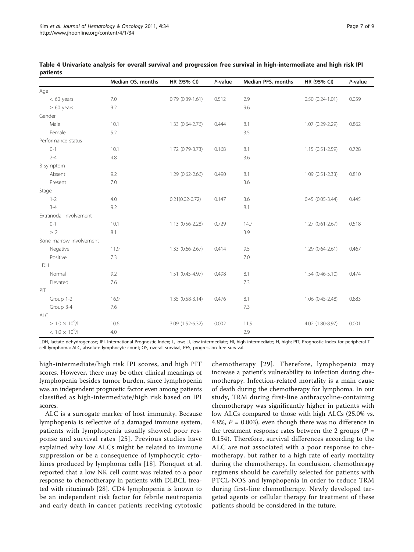|                             | Median OS, months | HR (95% CI)         | P-value | Median PFS, months | HR (95% CI)         | P-value |
|-----------------------------|-------------------|---------------------|---------|--------------------|---------------------|---------|
| Age                         |                   |                     |         |                    |                     |         |
| $< 60$ years                | 7.0               | $0.79(0.39-1.61)$   | 0.512   | 2.9                | $0.50(0.24-1.01)$   | 0.059   |
| $\geq 60$ years             | 9.2               |                     |         | 9.6                |                     |         |
| Gender                      |                   |                     |         |                    |                     |         |
| Male                        | 10.1              | 1.33 (0.64-2.76)    | 0.444   | 8.1                | 1.07 (0.29-2.29)    | 0.862   |
| Female                      | 5.2               |                     |         | 3.5                |                     |         |
| Performance status          |                   |                     |         |                    |                     |         |
| $0 - 1$                     | 10.1              | 1.72 (0.79-3.73)    | 0.168   | 8.1                | $1.15(0.51 - 2.59)$ | 0.728   |
| $2 - 4$                     | 4.8               |                     |         | 3.6                |                     |         |
| B symptom                   |                   |                     |         |                    |                     |         |
| Absent                      | 9.2               | 1.29 (0.62-2.66)    | 0.490   | 8.1                | $1.09(0.51 - 2.33)$ | 0.810   |
| Present                     | 7.0               |                     |         | 3.6                |                     |         |
| Stage                       |                   |                     |         |                    |                     |         |
| $1 - 2$                     | 4.0               | $0.21(0.02 - 0.72)$ | 0.147   | 3.6                | $0.45(0.05-3.44)$   | 0.445   |
| $3 - 4$                     | 9.2               |                     |         | 8.1                |                     |         |
| Extranodal involvement      |                   |                     |         |                    |                     |         |
| $0 - 1$                     | 10.1              | 1.13 (0.56-2.28)    | 0.729   | 14.7               | $1.27(0.61 - 2.67)$ | 0.518   |
| $\geq$ 2                    | 8.1               |                     |         | 3.9                |                     |         |
| Bone marrow involvement     |                   |                     |         |                    |                     |         |
| Negative                    | 11.9              | 1.33 (0.66-2.67)    | 0.414   | 9.5                | $1.29(0.64 - 2.61)$ | 0.467   |
| Positive                    | 7.3               |                     |         | 7.0                |                     |         |
| LDH                         |                   |                     |         |                    |                     |         |
| Normal                      | 9.2               | 1.51 (0.45-4.97)    | 0.498   | 8.1                | $1.54(0.46-5.10)$   | 0.474   |
| Elevated                    | 7.6               |                     |         | 7.3                |                     |         |
| PIT                         |                   |                     |         |                    |                     |         |
| Group 1-2                   | 16.9              | 1.35 (0.58-3.14)    | 0.476   | 8.1                | $1.06(0.45-2.48)$   | 0.883   |
| Group 3-4                   | 7.6               |                     |         | 7.3                |                     |         |
| ALC                         |                   |                     |         |                    |                     |         |
| $\geq 1.0 \times 10^{9}$ /l | 10.6              | 3.09 (1.52-6.32)    | 0.002   | 11.9               | 4.02 (1.80-8.97)    | 0.001   |
| $< 1.0 \times 10^{9}$ /l    | 4.0               |                     |         | 2.9                |                     |         |

<span id="page-6-0"></span>

| Table 4 Univariate analysis for overall survival and progression free survival in high-intermediate and high risk IPI |  |  |  |  |
|-----------------------------------------------------------------------------------------------------------------------|--|--|--|--|
| patients                                                                                                              |  |  |  |  |

LDH, lactate dehydrogenase; IPI, International Prognostic Index; L, low; LI, low-intermediate; HI, high-intermediate; H, high; PIT, Prognostic Index for peripheral Tcell lymphoma; ALC, absolute lymphocyte count; OS, overall survival; PFS, progression free survival.

high-intermediate/high risk IPI scores, and high PIT scores. However, there may be other clinical meanings of lymphopenia besides tumor burden, since lymphopenia was an independent prognostic factor even among patients classified as high-intermediate/high risk based on IPI scores.

ALC is a surrogate marker of host immunity. Because lymphopenia is reflective of a damaged immune system, patients with lymphopenia usually showed poor response and survival rates [\[25](#page-8-0)]. Previous studies have explained why low ALCs might be related to immune suppression or be a consequence of lymphocytic cytokines produced by lymphoma cells [[18](#page-7-0)]. Plonquet et al. reported that a low NK cell count was related to a poor response to chemotherapy in patients with DLBCL treated with rituximab [\[28](#page-8-0)]. CD4 lymphopenia is known to be an independent risk factor for febrile neutropenia and early death in cancer patients receiving cytotoxic

chemotherapy [[29](#page-8-0)]. Therefore, lymphopenia may increase a patient's vulnerability to infection during chemotherapy. Infection-related mortality is a main cause of death during the chemotherapy for lymphoma. In our study, TRM during first-line anthracycline-containing chemotherapy was significantly higher in patients with low ALCs compared to those with high ALCs (25.0% vs. 4.8%,  $P = 0.003$ ), even though there was no difference in the treatment response rates between the 2 groups ( $P =$ 0.154). Therefore, survival differences according to the ALC are not associated with a poor response to chemotherapy, but rather to a high rate of early mortality during the chemotherapy. In conclusion, chemotherapy regimens should be carefully selected for patients with PTCL-NOS and lymphopenia in order to reduce TRM during first-line chemotherapy. Newly developed targeted agents or cellular therapy for treatment of these patients should be considered in the future.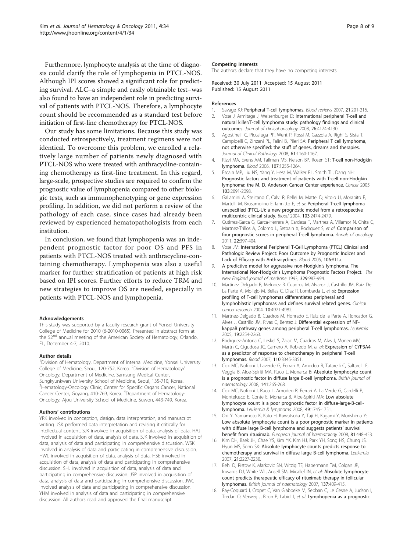<span id="page-7-0"></span>Furthermore, lymphocyte analysis at the time of diagnosis could clarify the role of lymphopenia in PTCL-NOS. Although IPI scores showed a significant role for predicting survival, ALC–a simple and easily obtainable test–was also found to have an independent role in predicting survival of patients with PTCL-NOS. Therefore, a lymphocyte count should be recommended as a standard test before initiation of first-line chemotherapy for PTCL-NOS.

Our study has some limitations. Because this study was conducted retrospectively, treatment regimens were not identical. To overcome this problem, we enrolled a relatively large number of patients newly diagnosed with PTCL-NOS who were treated with anthracycline-containing chemotherapy as first-line treatment. In this regard, large-scale, prospective studies are required to confirm the prognostic value of lymphopenia compared to other biologic tests, such as immunophenotyping or gene expression profiling. In addition, we did not perform a review of the pathology of each case, since cases had already been reviewed by experienced hematopathologists from each institution.

In conclusion, we found that lymphopenia was an independent prognostic factor for poor OS and PFS in patients with PTCL-NOS treated with anthracycline-containing chemotherapy. Lymphopenia was also a useful marker for further stratification of patients at high risk based on IPI scores. Further efforts to reduce TRM and new strategies to improve OS are needed, especially in patients with PTCL-NOS and lymphopenia.

#### Acknowledgements

This study was supported by a faculty research grant of Yonsei University College of Medicine for 2010 (6-2010-0065). Presented in abstract form at the 52<sup>nd</sup> annual meeting of the American Society of Hematology, Orlando, FL, December 4-7, 2010.

#### Author details

<sup>1</sup> Division of Hematology, Department of Internal Medicine, Yonsei University College of Medicine, Seoul, 120-752, Korea. <sup>2</sup>Division of Hematology/ Oncology, Department of Medicine, Samsung Medical Center, Sungkyunkwan University School of Medicine, Seoul, 135-710, Korea. <sup>3</sup>Hematology-Oncology Clinic, Center for Specific Organs Cancer, National Cancer Center, Goyang, 410-769, Korea. <sup>4</sup> Department of Hematology-Oncology, Ajou University School of Medicine, Suwon, 443-749, Korea.

#### Authors' contributions

YRK involved in conception, design, data interpretation, and manuscript writing. JSK performed data interpretation and revising it critically for intellectual content. SJK involved in acquisition of data, analysis of data. HAJ involved in acquisition of data, analysis of data. SJK involved in acquisition of data, analysis of data and participating in comprehensive discussion. WSK involved in analysis of data and participating in comprehensive discussion. HWL involved in acquisition of data, analysis of data. HSE involved in acquisition of data, analysis of data and participating in comprehensive discussion. SHJ involved in acquisition of data, analysis of data and participating in comprehensive discussion. JSP involved in acquisition of data, analysis of data and participating in comprehensive discussion. JWC involved analysis of data and participating in comprehensive discussion. YHM involved in analysis of data and participating in comprehensive discussion. All authors read and approved the final manuscript.

#### Competing interests

The authors declare that they have no competing interests.

Received: 30 July 2011 Accepted: 15 August 2011 Published: 15 August 2011

#### References

- 1. Savage KJ: **[Peripheral T-cell lymphomas.](http://www.ncbi.nlm.nih.gov/pubmed/17512649?dopt=Abstract)** Blood reviews 2007, **21:**201-216.<br>2. Vose L Armitage L Weisenburger D: **International peripheral T-cell and**
- 2. Vose J, Armitage J, Weisenburger D: [International peripheral T-cell and](http://www.ncbi.nlm.nih.gov/pubmed/18626005?dopt=Abstract) [natural killer/T-cell lymphoma study: pathology findings and clinical](http://www.ncbi.nlm.nih.gov/pubmed/18626005?dopt=Abstract) [outcomes.](http://www.ncbi.nlm.nih.gov/pubmed/18626005?dopt=Abstract) Journal of clinical oncology 2008, 26:4124-4130.
- 3. Agostinelli C, Piccaluga PP, Went P, Rossi M, Gazzola A, Righi S, Sista T, Campidelli C, Zinzani PL, Falini B, Pileri SA: [Peripheral T cell lymphoma,](http://www.ncbi.nlm.nih.gov/pubmed/18755717?dopt=Abstract) [not otherwise specified: the stuff of genes, dreams and therapies.](http://www.ncbi.nlm.nih.gov/pubmed/18755717?dopt=Abstract) Journal of Clinical Pathology 2008, 61:1160-1167.
- Rizvi MA, Evens AM, Tallman MS, Nelson BP, Rosen ST: [T-cell non-Hodgkin](http://www.ncbi.nlm.nih.gov/pubmed/16210342?dopt=Abstract) [lymphoma.](http://www.ncbi.nlm.nih.gov/pubmed/16210342?dopt=Abstract) Blood 2006, 107:1255-1264.
- 5. Escaln MP, Liu NS, Yang Y, Hess M, Walker PL, Smith TL, Dang NH: [Prognostic factors and treatment of patients with T-cell non-Hodgkin](http://www.ncbi.nlm.nih.gov/pubmed/15816054?dopt=Abstract) [lymphoma: the M. D. Anderson Cancer Center experience.](http://www.ncbi.nlm.nih.gov/pubmed/15816054?dopt=Abstract) Cancer 2005, 103:2091-2098.
- 6. Gallamini A, Stelitano C, Calvi R, Bellei M, Mattei D, Vitolo U, Morabito F, Martelli M, Brusamolino E, Iannitto E, et al: [Peripheral T-cell lymphoma](http://www.ncbi.nlm.nih.gov/pubmed/14645001?dopt=Abstract) [unspecified \(PTCL-U\): a new prognostic model from a retrospective](http://www.ncbi.nlm.nih.gov/pubmed/14645001?dopt=Abstract) [multicentric clinical study.](http://www.ncbi.nlm.nih.gov/pubmed/14645001?dopt=Abstract) Blood 2004, 103:2474-2479.
- 7. Gutirrez-Garca G, Garca-Herrera A, Cardesa T, Martnez A, Villamor N, Ghita G, Martnez-Trillos A, Colomo L, Setoain X, Rodrguez S, et al: [Comparison of](http://www.ncbi.nlm.nih.gov/pubmed/20631009?dopt=Abstract) [four prognostic scores in peripheral T-cell lymphoma.](http://www.ncbi.nlm.nih.gov/pubmed/20631009?dopt=Abstract) Annals of oncology 2011, 22:397-404.
- 8. Vose JM: International Peripheral T-Cell Lymphoma (PTCL) Clinical and Pathologic Review Project: Poor Outcome by Prognostic Indices and Lack of Efficacy with Anthracyclines. Blood 2005, 106:811a.
- 9. A predictive model for aggressive non-Hodgkin's lymphoma. The International Non-Hodgkin's Lymphoma Prognostic Factors Project. The New England journal of medicine 1993, 329:987-994.
- 10. Martinez Delgado B, Melndez B, Cuadros M, Alvarez J, Castrillo JM, Ruiz De La Parte A, Mollejo M, Bellas C, Diaz R, Lombarda L, et al: [Expression](http://www.ncbi.nlm.nih.gov/pubmed/15297397?dopt=Abstract) [profiling of T-cell lymphomas differentiates peripheral and](http://www.ncbi.nlm.nih.gov/pubmed/15297397?dopt=Abstract) [lymphoblastic lymphomas and defines survival related genes.](http://www.ncbi.nlm.nih.gov/pubmed/15297397?dopt=Abstract) Clinical cancer research 2004, 10:4971-4982.
- 11. Martnez-Delgado B, Cuadros M, Honrado E, Ruiz de la Parte A, Roncador G, Alves J, Castrillo JM, Rivas C, Bentez J: [Differential expression of NF](http://www.ncbi.nlm.nih.gov/pubmed/16270046?dopt=Abstract)[kappaB pathway genes among peripheral T-cell lymphomas.](http://www.ncbi.nlm.nih.gov/pubmed/16270046?dopt=Abstract) Leukemia 2005, 19:2254-2263.
- 12. Rodrguez-Antona C, Leskel S, Zajac M, Cuadros M, Alvs J, Moneo MV, Martn C, Cigudosa JC, Carnero A, Robledo M, et al: [Expression of CYP3A4](http://www.ncbi.nlm.nih.gov/pubmed/17634410?dopt=Abstract) [as a predictor of response to chemotherapy in peripheral T-cell](http://www.ncbi.nlm.nih.gov/pubmed/17634410?dopt=Abstract) [lymphomas.](http://www.ncbi.nlm.nih.gov/pubmed/17634410?dopt=Abstract) Blood 2007, 110:3345-3351.
- 13. Cox MC, Nofroni I, Laverde G, Ferrari A, Amodeo R, Tatarelli C, Saltarelli F, Veggia B, Aloe-Spiriti MA, Ruco L, Monarca B: [Absolute lymphocyte count](http://www.ncbi.nlm.nih.gov/pubmed/18353165?dopt=Abstract) [is a prognostic factor in diffuse large B-cell lymphoma.](http://www.ncbi.nlm.nih.gov/pubmed/18353165?dopt=Abstract) British journal of haematology 2008, 141:265-268.
- 14. Cox MC, Nofroni I, Ruco L, Amodeo R, Ferrari A, La Verde G, Cardelli P, Montefusco E, Conte E, Monarca B, Aloe-Spiriti MA: [Low absolute](http://www.ncbi.nlm.nih.gov/pubmed/21845476?dopt=Abstract) [lymphocyte count is a poor prognostic factor in diffuse-large-B-cell](http://www.ncbi.nlm.nih.gov/pubmed/21845476?dopt=Abstract)[lymphoma.](http://www.ncbi.nlm.nih.gov/pubmed/21845476?dopt=Abstract) Leukemia & lymphoma 2008, 49:1745-1751.
- 15. Oki Y, Yamamoto K, Kato H, Kuwatsuka Y, Taji H, Kagami Y, Morishima Y: [Low absolute lymphocyte count is a poor prognostic marker in patients](http://www.ncbi.nlm.nih.gov/pubmed/18691256?dopt=Abstract) [with diffuse large B-cell lymphoma and suggests patients](http://www.ncbi.nlm.nih.gov/pubmed/18691256?dopt=Abstract)' survival [benefit from rituximab.](http://www.ncbi.nlm.nih.gov/pubmed/18691256?dopt=Abstract) European journal of haematology 2008, 81:448-453.
- 16. Kim DH, Baek JH, Chae YS, Kim YK, Kim HJ, Park YH, Song HS, Chung JS, Hyun MS, Sohn SK: [Absolute lymphocyte counts predicts response to](http://www.ncbi.nlm.nih.gov/pubmed/17554383?dopt=Abstract) [chemotherapy and survival in diffuse large B-cell lymphoma.](http://www.ncbi.nlm.nih.gov/pubmed/17554383?dopt=Abstract) Leukemia 2007, 21:2227-2230.
- 17. Behl D, Ristow K, Markovic SN, Witzig TE, Habermann TM, Colgan JP, Inwards DJ, White WL, Ansell SM, Micallef IN, et al: [Absolute lymphocyte](http://www.ncbi.nlm.nih.gov/pubmed/17433025?dopt=Abstract) [count predicts therapeutic efficacy of rituximab therapy in follicular](http://www.ncbi.nlm.nih.gov/pubmed/17433025?dopt=Abstract) [lymphomas.](http://www.ncbi.nlm.nih.gov/pubmed/17433025?dopt=Abstract) British journal of haematology 2007, 137:409-415.
- 18. Ray-Coquard I, Cropet C, Van Glabbeke M, Sebban C, Le Cesne A, Judson I, Tredan O, Verweij J, Biron P, Labidi I, et al: [Lymphopenia as a prognostic](http://www.ncbi.nlm.nih.gov/pubmed/19549917?dopt=Abstract)